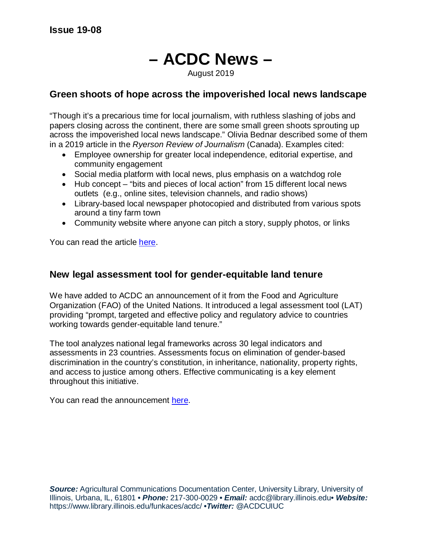# **– ACDC News –** August 2019

### **Green shoots of hope across the impoverished local news landscape**

"Though it's a precarious time for local journalism, with ruthless slashing of jobs and papers closing across the continent, there are some small green shoots sprouting up across the impoverished local news landscape." Olivia Bednar described some of them in a 2019 article in the *Ryerson Review of Journalism* (Canada). Examples cited:

- Employee ownership for greater local independence, editorial expertise, and community engagement
- Social media platform with local news, plus emphasis on a watchdog role
- Hub concept "bits and pieces of local action" from 15 different local news outlets (e.g., online sites, television channels, and radio shows)
- Library-based local newspaper photocopied and distributed from various spots around a tiny farm town
- Community website where anyone can pitch a story, supply photos, or links

You can read the article [here.](https://rrj.ca/green-shoots)

### **New legal assessment tool for gender-equitable land tenure**

We have added to ACDC an announcement of it from the Food and Agriculture Organization (FAO) of the United Nations. It introduced a legal assessment tool (LAT) providing "prompt, targeted and effective policy and regulatory advice to countries working towards gender-equitable land tenure."

The tool analyzes national legal frameworks across 30 legal indicators and assessments in 23 countries. Assessments focus on elimination of gender-based discrimination in the country's constitution, in inheritance, nationality, property rights, and access to justice among others. Effective communicating is a key element throughout this initiative.

You can read the announcement [here.](http://www.fao.org/gender-landrights-database/legislation-assessment-tool/en/)

**Source:** Agricultural Communications Documentation Center, University Library, University of Illinois, Urbana, IL, 61801 **•** *Phone:* 217-300-0029 **•** *Email:* acdc@library.illinois.edu**•** *Website:* https://www.library.illinois.edu/funkaces/acdc/ **•***Twitter:* @ACDCUIUC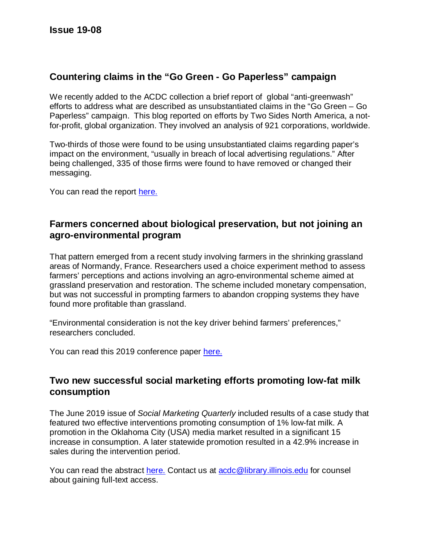## **Countering claims in the "Go Green - Go Paperless" campaign**

We recently added to the ACDC collection a brief report of global "anti-greenwash" efforts to address what are described as unsubstantiated claims in the "Go Green – Go Paperless" campaign. This blog reported on efforts by Two Sides North America, a notfor-profit, global organization. They involved an analysis of 921 corporations, worldwide.

Two-thirds of those were found to be using unsubstantiated claims regarding paper's impact on the environment, "usually in breach of local advertising regulations." After being challenged, 335 of those firms were found to have removed or changed their messaging.

You can read the report [here.](https://twosidesna.org/US/335-leading-corporations-remove-misleading-go-green-claims/)

### **Farmers concerned about biological preservation, but not joining an agro-environmental program**

That pattern emerged from a recent study involving farmers in the shrinking grassland areas of Normandy, France. Researchers used a choice experiment method to assess farmers' perceptions and actions involving an agro-environmental scheme aimed at grassland preservation and restoration. The scheme included monetary compensation, but was not successful in prompting farmers to abandon cropping systems they have found more profitable than grassland.

"Environmental consideration is not the key driver behind farmers' preferences," researchers concluded.

You can read this 2019 conference paper [here.](https://ageconsearch.umn.edu/record/289701?In=en)

### **Two new successful social marketing efforts promoting low-fat milk consumption**

The June 2019 issue of *Social Marketing Quarterly* included results of a case study that featured two effective interventions promoting consumption of 1% low-fat milk. A promotion in the Oklahoma City (USA) media market resulted in a significant 15 increase in consumption. A later statewide promotion resulted in a 42.9% increase in sales during the intervention period.

You can read the abstract [here.](https://journals.sagepub.com/doi/full/10.1177/1524500418824292) Contact us at [acdc@library.illinois.edu](mailto:acdc@library.illinois.edu) for counsel about gaining full-text access.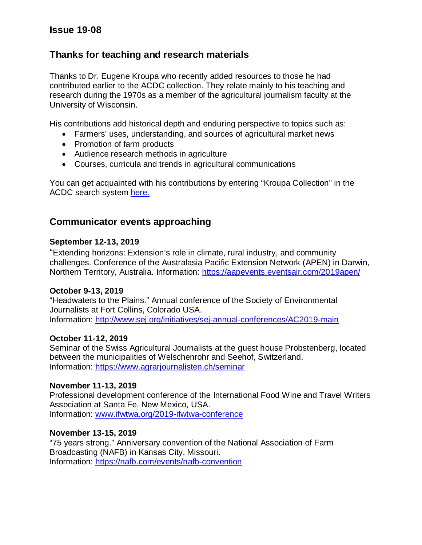### **Issue 19-08**

### **Thanks for teaching and research materials**

Thanks to Dr. Eugene Kroupa who recently added resources to those he had contributed earlier to the ACDC collection. They relate mainly to his teaching and research during the 1970s as a member of the agricultural journalism faculty at the University of Wisconsin.

His contributions add historical depth and enduring perspective to topics such as:

- Farmers' uses, understanding, and sources of agricultural market news
- Promotion of farm products
- Audience research methods in agriculture
- Courses, curricula and trends in agricultural communications

You can get acquainted with his contributions by entering "Kroupa Collection" in the ACDC search system [here.](https://bibleaves.library.illinois.edu/?f%255Bcollection_facet%255D%255B%255D=ACDC)

### **Communicator events approaching**

#### **September 12-13, 2019**

"Extending horizons: Extension's role in climate, rural industry, and community challenges. Conference of the Australasia Pacific Extension Network (APEN) in Darwin, Northern Territory, Australia. Information:<https://aapevents.eventsair.com/2019apen/>

#### **October 9-13, 2019**

"Headwaters to the Plains." Annual conference of the Society of Environmental Journalists at Fort Collins, Colorado USA. Information:<http://www.sej.org/initiatives/sej-annual-conferences/AC2019-main>

#### **October 11-12, 2019**

Seminar of the Swiss Agricultural Journalists at the guest house Probstenberg, located between the municipalities of Welschenrohr and Seehof, Switzerland. Information:<https://www.agrarjournalisten.ch/seminar>

#### **November 11-13, 2019**

Professional development conference of the International Food Wine and Travel Writers Association at Santa Fe, New Mexico, USA. Information: [www.ifwtwa.org/2019-ifwtwa-conference](http://www.ifwtwa.org/2019-ifwtwa-conference)

#### **November 13-15, 2019**

"75 years strong." Anniversary convention of the National Association of Farm Broadcasting (NAFB) in Kansas City, Missouri. Information:<https://nafb.com/events/nafb-convention>